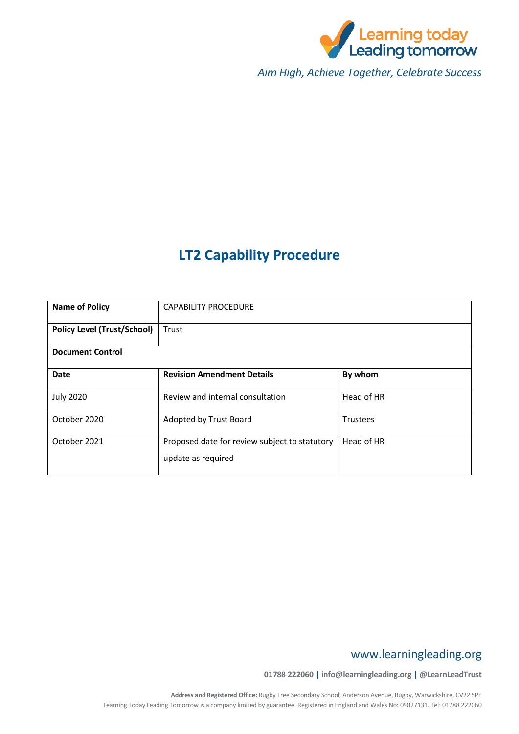

*Aim High, Achieve Together, Celebrate Success*

# **LT2 Capability Procedure**

| <b>Name of Policy</b>              | <b>CAPABILITY PROCEDURE</b>                                         |                 |  |  |  |
|------------------------------------|---------------------------------------------------------------------|-----------------|--|--|--|
| <b>Policy Level (Trust/School)</b> | Trust                                                               |                 |  |  |  |
| <b>Document Control</b>            |                                                                     |                 |  |  |  |
| <b>Date</b>                        | <b>Revision Amendment Details</b>                                   | By whom         |  |  |  |
| <b>July 2020</b>                   | Review and internal consultation                                    | Head of HR      |  |  |  |
| October 2020                       | Adopted by Trust Board                                              | <b>Trustees</b> |  |  |  |
| October 2021                       | Proposed date for review subject to statutory<br>update as required | Head of HR      |  |  |  |

# www.learningleading.org

**01788 222060 | info@learningleading.org | @LearnLeadTrust**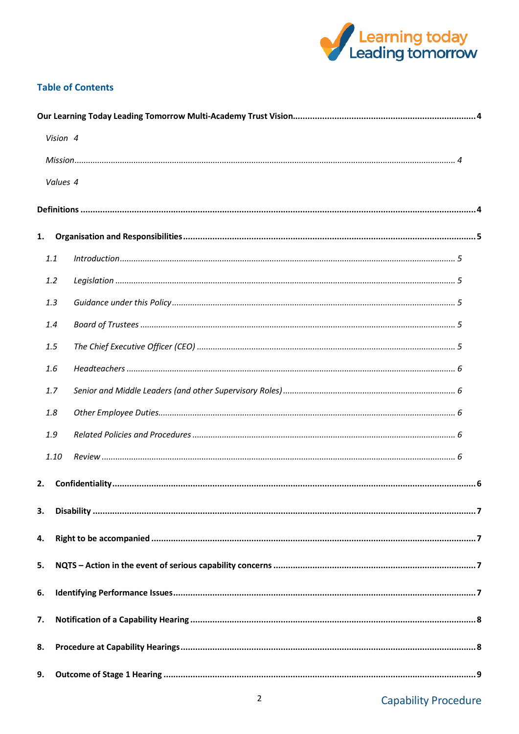

# **Table of Contents**

|    | Vision 4 |  |  |  |  |
|----|----------|--|--|--|--|
|    |          |  |  |  |  |
|    | Values 4 |  |  |  |  |
|    |          |  |  |  |  |
| 1. |          |  |  |  |  |
|    |          |  |  |  |  |
|    | 1.1      |  |  |  |  |
|    | 1.2      |  |  |  |  |
|    | 1.3      |  |  |  |  |
|    | 1.4      |  |  |  |  |
|    | 1.5      |  |  |  |  |
|    | 1.6      |  |  |  |  |
|    | 1.7      |  |  |  |  |
|    | 1.8      |  |  |  |  |
|    | 1.9      |  |  |  |  |
|    | 1.10     |  |  |  |  |
| 2. |          |  |  |  |  |
|    |          |  |  |  |  |
| 3. |          |  |  |  |  |
| 4. |          |  |  |  |  |
| 5. |          |  |  |  |  |
| 6. |          |  |  |  |  |
| 7. |          |  |  |  |  |
| 8. |          |  |  |  |  |
| 9. |          |  |  |  |  |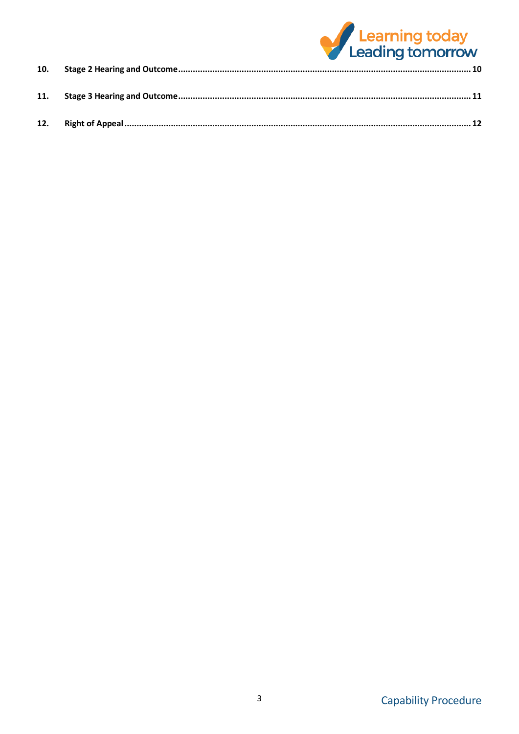

| <b>11.</b> |  |
|------------|--|
| 12.        |  |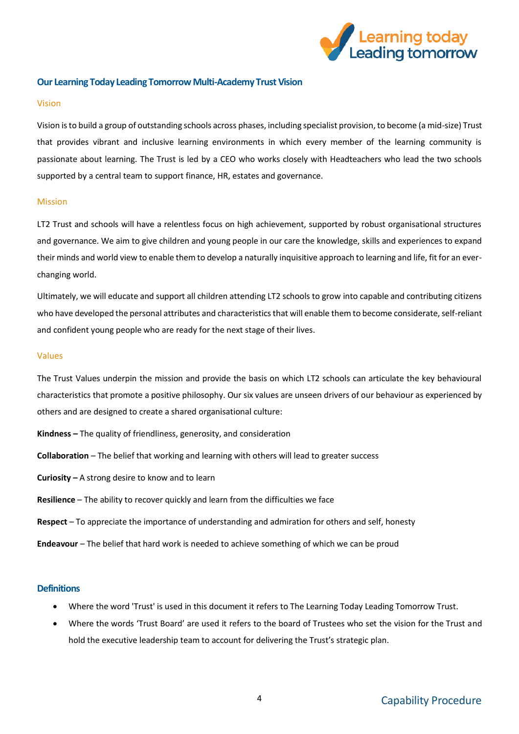

# <span id="page-3-0"></span>**Our Learning Today Leading Tomorrow Multi-Academy Trust Vision**

#### <span id="page-3-1"></span>Vision

Vision is to build a group of outstanding schools across phases, including specialist provision, to become (a mid-size) Trust that provides vibrant and inclusive learning environments in which every member of the learning community is passionate about learning. The Trust is led by a CEO who works closely with Headteachers who lead the two schools supported by a central team to support finance, HR, estates and governance.

### <span id="page-3-2"></span>Mission

LT2 Trust and schools will have a relentless focus on high achievement, supported by robust organisational structures and governance. We aim to give children and young people in our care the knowledge, skills and experiences to expand their minds and world view to enable them to develop a naturally inquisitive approach to learning and life, fit for an everchanging world.

Ultimately, we will educate and support all children attending LT2 schools to grow into capable and contributing citizens who have developed the personal attributes and characteristics that will enable them to become considerate, self-reliant and confident young people who are ready for the next stage of their lives.

#### <span id="page-3-3"></span>Values

The Trust Values underpin the mission and provide the basis on which LT2 schools can articulate the key behavioural characteristics that promote a positive philosophy. Our six values are unseen drivers of our behaviour as experienced by others and are designed to create a shared organisational culture:

- **Kindness –** The quality of friendliness, generosity, and consideration
- **Collaboration** The belief that working and learning with others will lead to greater success
- **Curiosity –** A strong desire to know and to learn
- **Resilience** The ability to recover quickly and learn from the difficulties we face
- **Respect** To appreciate the importance of understanding and admiration for others and self, honesty
- **Endeavour** The belief that hard work is needed to achieve something of which we can be proud

# <span id="page-3-4"></span>**Definitions**

- Where the word 'Trust' is used in this document it refers to The Learning Today Leading Tomorrow Trust.
- Where the words 'Trust Board' are used it refers to the board of Trustees who set the vision for the Trust and hold the executive leadership team to account for delivering the Trust's strategic plan.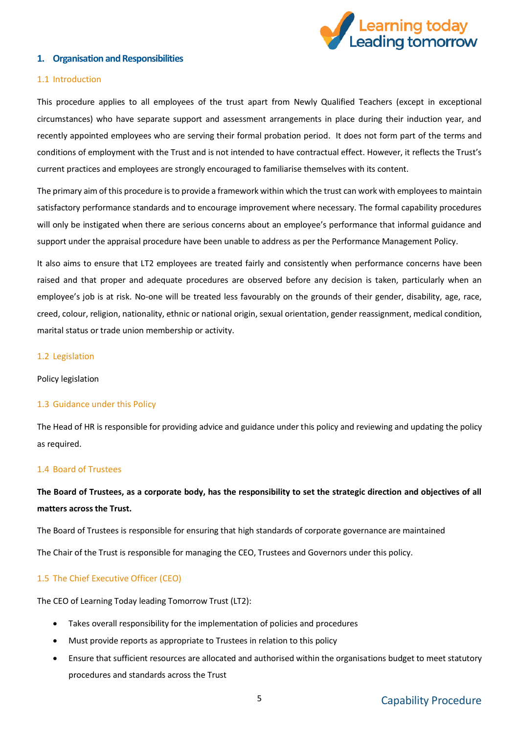

# <span id="page-4-0"></span>**1. Organisation and Responsibilities**

### <span id="page-4-1"></span>1.1 Introduction

This procedure applies to all employees of the trust apart from Newly Qualified Teachers (except in exceptional circumstances) who have separate support and assessment arrangements in place during their induction year, and recently appointed employees who are serving their formal probation period. It does not form part of the terms and conditions of employment with the Trust and is not intended to have contractual effect. However, it reflects the Trust's current practices and employees are strongly encouraged to familiarise themselves with its content.

The primary aim of this procedure is to provide a framework within which the trust can work with employees to maintain satisfactory performance standards and to encourage improvement where necessary. The formal capability procedures will only be instigated when there are serious concerns about an employee's performance that informal guidance and support under the appraisal procedure have been unable to address as per the Performance Management Policy.

It also aims to ensure that LT2 employees are treated fairly and consistently when performance concerns have been raised and that proper and adequate procedures are observed before any decision is taken, particularly when an employee's job is at risk. No-one will be treated less favourably on the grounds of their gender, disability, age, race, creed, colour, religion, nationality, ethnic or national origin, sexual orientation, gender reassignment, medical condition, marital status or trade union membership or activity.

#### <span id="page-4-2"></span>1.2 Legislation

Policy legislation

### <span id="page-4-3"></span>1.3 Guidance under this Policy

The Head of HR is responsible for providing advice and guidance under this policy and reviewing and updating the policy as required.

#### <span id="page-4-4"></span>1.4 Board of Trustees

# **The Board of Trustees, as a corporate body, has the responsibility to set the strategic direction and objectives of all matters across the Trust.**

The Board of Trustees is responsible for ensuring that high standards of corporate governance are maintained The Chair of the Trust is responsible for managing the CEO, Trustees and Governors under this policy.

### <span id="page-4-5"></span>1.5 The Chief Executive Officer (CEO)

The CEO of Learning Today leading Tomorrow Trust (LT2):

- Takes overall responsibility for the implementation of policies and procedures
- Must provide reports as appropriate to Trustees in relation to this policy
- Ensure that sufficient resources are allocated and authorised within the organisations budget to meet statutory procedures and standards across the Trust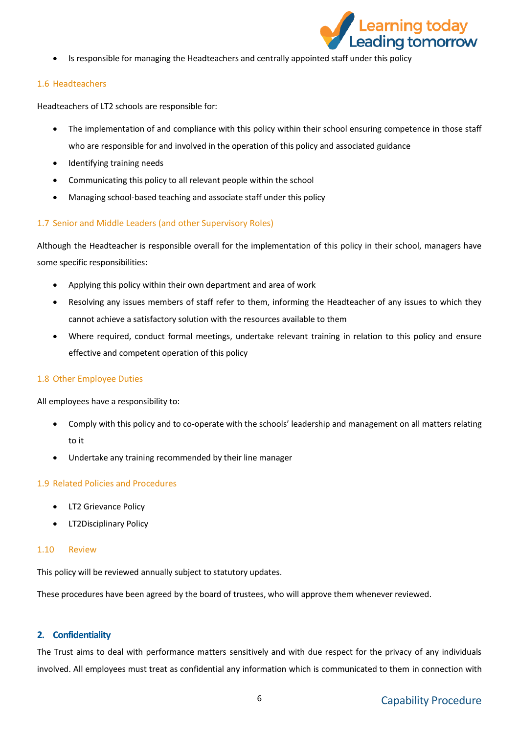

Is responsible for managing the Headteachers and centrally appointed staff under this policy

# <span id="page-5-0"></span>1.6 Headteachers

Headteachers of LT2 schools are responsible for:

- The implementation of and compliance with this policy within their school ensuring competence in those staff who are responsible for and involved in the operation of this policy and associated guidance
- Identifying training needs
- Communicating this policy to all relevant people within the school
- Managing school-based teaching and associate staff under this policy

# <span id="page-5-1"></span>1.7 Senior and Middle Leaders (and other Supervisory Roles)

Although the Headteacher is responsible overall for the implementation of this policy in their school, managers have some specific responsibilities:

- Applying this policy within their own department and area of work
- Resolving any issues members of staff refer to them, informing the Headteacher of any issues to which they cannot achieve a satisfactory solution with the resources available to them
- Where required, conduct formal meetings, undertake relevant training in relation to this policy and ensure effective and competent operation of this policy

# <span id="page-5-2"></span>1.8 Other Employee Duties

All employees have a responsibility to:

- Comply with this policy and to co-operate with the schools' leadership and management on all matters relating to it
- Undertake any training recommended by their line manager

# <span id="page-5-3"></span>1.9 Related Policies and Procedures

- LT2 Grievance Policy
- LT2Disciplinary Policy

# <span id="page-5-4"></span>1.10 Review

This policy will be reviewed annually subject to statutory updates.

These procedures have been agreed by the board of trustees, who will approve them whenever reviewed.

# <span id="page-5-5"></span>**2. Confidentiality**

The Trust aims to deal with performance matters sensitively and with due respect for the privacy of any individuals involved. All employees must treat as confidential any information which is communicated to them in connection with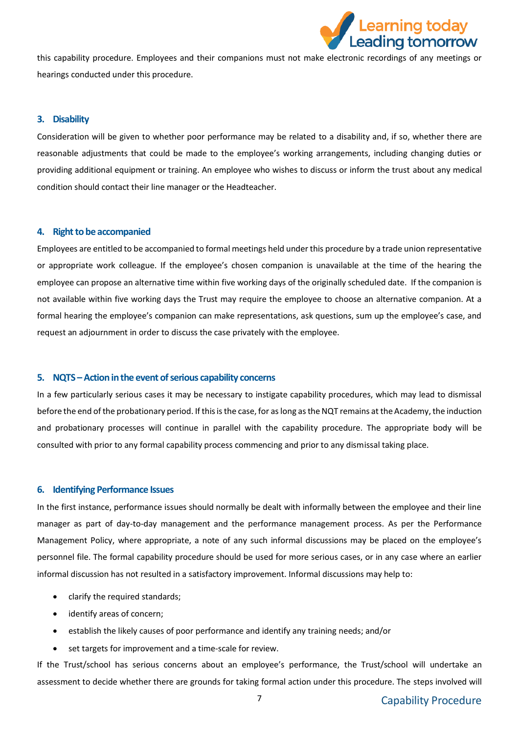

this capability procedure. Employees and their companions must not make electronic recordings of any meetings or hearings conducted under this procedure.

# <span id="page-6-0"></span>**3. Disability**

Consideration will be given to whether poor performance may be related to a disability and, if so, whether there are reasonable adjustments that could be made to the employee's working arrangements, including changing duties or providing additional equipment or training. An employee who wishes to discuss or inform the trust about any medical condition should contact their line manager or the Headteacher.

#### <span id="page-6-1"></span>**4. Right to be accompanied**

Employees are entitled to be accompanied to formal meetings held under this procedure by a trade union representative or appropriate work colleague. If the employee's chosen companion is unavailable at the time of the hearing the employee can propose an alternative time within five working days of the originally scheduled date. If the companion is not available within five working days the Trust may require the employee to choose an alternative companion. At a formal hearing the employee's companion can make representations, ask questions, sum up the employee's case, and request an adjournment in order to discuss the case privately with the employee.

# <span id="page-6-2"></span>**5. NQTS – Action in the event of serious capability concerns**

In a few particularly serious cases it may be necessary to instigate capability procedures, which may lead to dismissal before the end of the probationary period. If this is the case, for as long as the NQT remains at the Academy, the induction and probationary processes will continue in parallel with the capability procedure. The appropriate body will be consulted with prior to any formal capability process commencing and prior to any dismissal taking place.

### <span id="page-6-3"></span>**6. Identifying Performance Issues**

In the first instance, performance issues should normally be dealt with informally between the employee and their line manager as part of day-to-day management and the performance management process. As per the Performance Management Policy, where appropriate, a note of any such informal discussions may be placed on the employee's personnel file. The formal capability procedure should be used for more serious cases, or in any case where an earlier informal discussion has not resulted in a satisfactory improvement. Informal discussions may help to:

- clarify the required standards;
- identify areas of concern;
- establish the likely causes of poor performance and identify any training needs; and/or
- set targets for improvement and a time-scale for review.

If the Trust/school has serious concerns about an employee's performance, the Trust/school will undertake an assessment to decide whether there are grounds for taking formal action under this procedure. The steps involved will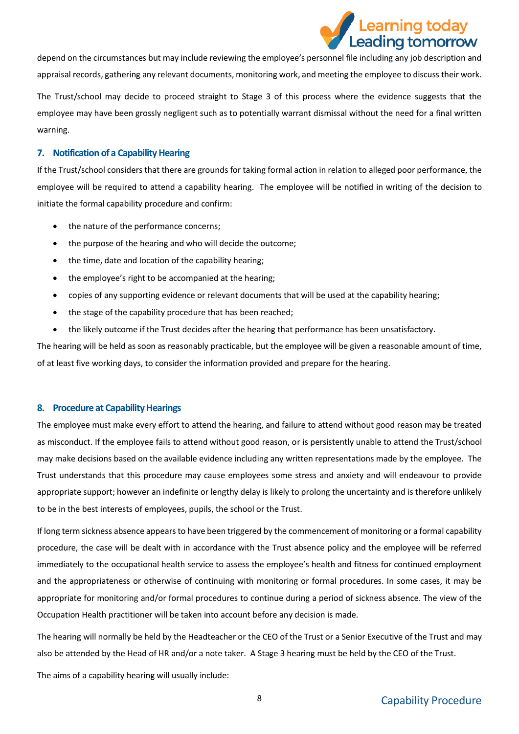

depend on the circumstances but may include reviewing the employee's personnel file including any job description and appraisal records, gathering any relevant documents, monitoring work, and meeting the employee to discuss their work.

The Trust/school may decide to proceed straight to Stage 3 of this process where the evidence suggests that the employee may have been grossly negligent such as to potentially warrant dismissal without the need for a final written warning.

# <span id="page-7-0"></span>**7. Notification of a Capability Hearing**

If the Trust/school considers that there are grounds for taking formal action in relation to alleged poor performance, the employee will be required to attend a capability hearing. The employee will be notified in writing of the decision to initiate the formal capability procedure and confirm:

- the nature of the performance concerns;
- the purpose of the hearing and who will decide the outcome;
- the time, date and location of the capability hearing;
- the employee's right to be accompanied at the hearing;
- copies of any supporting evidence or relevant documents that will be used at the capability hearing;
- the stage of the capability procedure that has been reached;
- the likely outcome if the Trust decides after the hearing that performance has been unsatisfactory.

The hearing will be held as soon as reasonably practicable, but the employee will be given a reasonable amount of time, of at least five working days, to consider the information provided and prepare for the hearing.

### <span id="page-7-1"></span>**8. Procedure at Capability Hearings**

The employee must make every effort to attend the hearing, and failure to attend without good reason may be treated as misconduct. If the employee fails to attend without good reason, or is persistently unable to attend the Trust/school may make decisions based on the available evidence including any written representations made by the employee. The Trust understands that this procedure may cause employees some stress and anxiety and will endeavour to provide appropriate support; however an indefinite or lengthy delay is likely to prolong the uncertainty and is therefore unlikely to be in the best interests of employees, pupils, the school or the Trust.

If long term sickness absence appears to have been triggered by the commencement of monitoring or a formal capability procedure, the case will be dealt with in accordance with the Trust absence policy and the employee will be referred immediately to the occupational health service to assess the employee's health and fitness for continued employment and the appropriateness or otherwise of continuing with monitoring or formal procedures. In some cases, it may be appropriate for monitoring and/or formal procedures to continue during a period of sickness absence. The view of the Occupation Health practitioner will be taken into account before any decision is made.

The hearing will normally be held by the Headteacher or the CEO of the Trust or a Senior Executive of the Trust and may also be attended by the Head of HR and/or a note taker. A Stage 3 hearing must be held by the CEO of the Trust.

The aims of a capability hearing will usually include: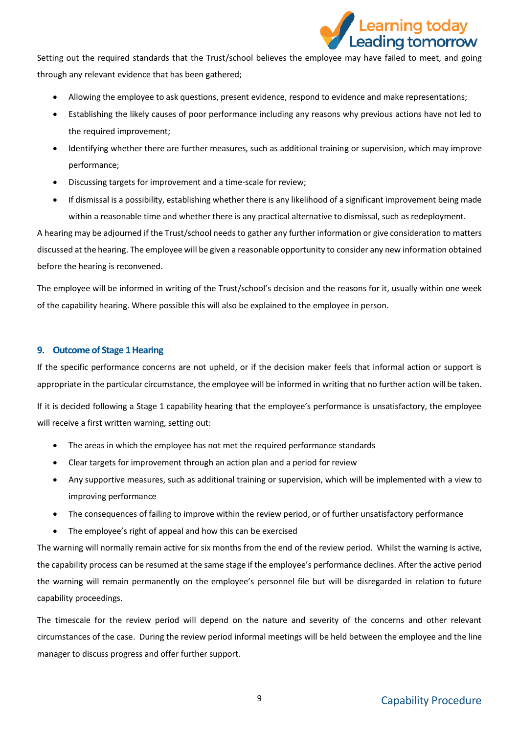

Setting out the required standards that the Trust/school believes the employee may have failed to meet, and going through any relevant evidence that has been gathered;

- Allowing the employee to ask questions, present evidence, respond to evidence and make representations;
- Establishing the likely causes of poor performance including any reasons why previous actions have not led to the required improvement;
- Identifying whether there are further measures, such as additional training or supervision, which may improve performance;
- Discussing targets for improvement and a time-scale for review;
- If dismissal is a possibility, establishing whether there is any likelihood of a significant improvement being made within a reasonable time and whether there is any practical alternative to dismissal, such as redeployment.

A hearing may be adjourned if the Trust/school needs to gather any further information or give consideration to matters discussed at the hearing. The employee will be given a reasonable opportunity to consider any new information obtained before the hearing is reconvened.

The employee will be informed in writing of the Trust/school's decision and the reasons for it, usually within one week of the capability hearing. Where possible this will also be explained to the employee in person.

# <span id="page-8-0"></span>**9. Outcome of Stage 1 Hearing**

If the specific performance concerns are not upheld, or if the decision maker feels that informal action or support is appropriate in the particular circumstance, the employee will be informed in writing that no further action will be taken.

If it is decided following a Stage 1 capability hearing that the employee's performance is unsatisfactory, the employee will receive a first written warning, setting out:

- The areas in which the employee has not met the required performance standards
- Clear targets for improvement through an action plan and a period for review
- Any supportive measures, such as additional training or supervision, which will be implemented with a view to improving performance
- The consequences of failing to improve within the review period, or of further unsatisfactory performance
- The employee's right of appeal and how this can be exercised

The warning will normally remain active for six months from the end of the review period. Whilst the warning is active, the capability process can be resumed at the same stage if the employee's performance declines. After the active period the warning will remain permanently on the employee's personnel file but will be disregarded in relation to future capability proceedings.

The timescale for the review period will depend on the nature and severity of the concerns and other relevant circumstances of the case. During the review period informal meetings will be held between the employee and the line manager to discuss progress and offer further support.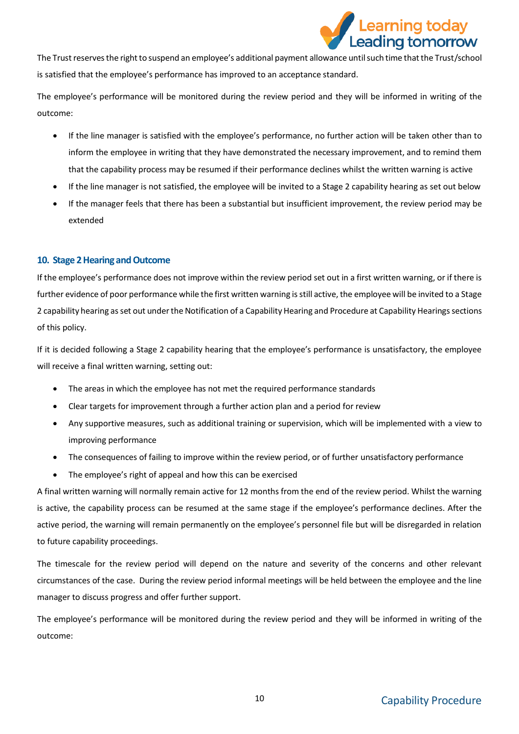

The Trust reserves the right to suspend an employee's additional payment allowance until such time that the Trust/school is satisfied that the employee's performance has improved to an acceptance standard.

The employee's performance will be monitored during the review period and they will be informed in writing of the outcome:

- If the line manager is satisfied with the employee's performance, no further action will be taken other than to inform the employee in writing that they have demonstrated the necessary improvement, and to remind them that the capability process may be resumed if their performance declines whilst the written warning is active
- If the line manager is not satisfied, the employee will be invited to a Stage 2 capability hearing as set out below
- If the manager feels that there has been a substantial but insufficient improvement, the review period may be extended

# <span id="page-9-0"></span>**10. Stage 2 Hearing and Outcome**

If the employee's performance does not improve within the review period set out in a first written warning, or if there is further evidence of poor performance while the first written warning is still active, the employee will be invited to a Stage 2 capability hearing as set out under the Notification of a Capability Hearing and Procedure at Capability Hearings sections of this policy.

If it is decided following a Stage 2 capability hearing that the employee's performance is unsatisfactory, the employee will receive a final written warning, setting out:

- The areas in which the employee has not met the required performance standards
- Clear targets for improvement through a further action plan and a period for review
- Any supportive measures, such as additional training or supervision, which will be implemented with a view to improving performance
- The consequences of failing to improve within the review period, or of further unsatisfactory performance
- The employee's right of appeal and how this can be exercised

A final written warning will normally remain active for 12 months from the end of the review period. Whilst the warning is active, the capability process can be resumed at the same stage if the employee's performance declines. After the active period, the warning will remain permanently on the employee's personnel file but will be disregarded in relation to future capability proceedings.

The timescale for the review period will depend on the nature and severity of the concerns and other relevant circumstances of the case. During the review period informal meetings will be held between the employee and the line manager to discuss progress and offer further support.

The employee's performance will be monitored during the review period and they will be informed in writing of the outcome: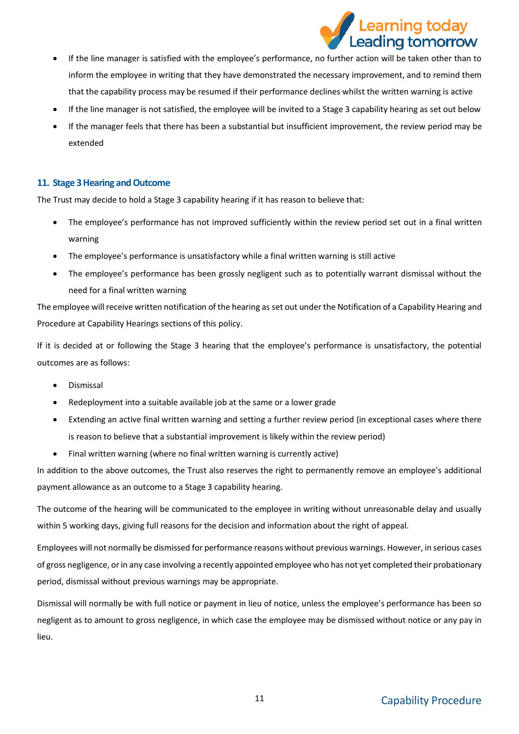

- If the line manager is satisfied with the employee's performance, no further action will be taken other than to inform the employee in writing that they have demonstrated the necessary improvement, and to remind them that the capability process may be resumed if their performance declines whilst the written warning is active
- If the line manager is not satisfied, the employee will be invited to a Stage 3 capability hearing as set out below
- If the manager feels that there has been a substantial but insufficient improvement, the review period may be extended

# <span id="page-10-0"></span>**11. Stage 3 Hearing and Outcome**

The Trust may decide to hold a Stage 3 capability hearing if it has reason to believe that:

- The employee's performance has not improved sufficiently within the review period set out in a final written warning
- The employee's performance is unsatisfactory while a final written warning is still active
- The employee's performance has been grossly negligent such as to potentially warrant dismissal without the need for a final written warning

The employee will receive written notification of the hearing as set out under the Notification of a Capability Hearing and Procedure at Capability Hearings sections of this policy.

If it is decided at or following the Stage 3 hearing that the employee's performance is unsatisfactory, the potential outcomes are as follows:

- Dismissal
- Redeployment into a suitable available job at the same or a lower grade
- Extending an active final written warning and setting a further review period (in exceptional cases where there is reason to believe that a substantial improvement is likely within the review period)
- Final written warning (where no final written warning is currently active)

In addition to the above outcomes, the Trust also reserves the right to permanently remove an employee's additional payment allowance as an outcome to a Stage 3 capability hearing.

The outcome of the hearing will be communicated to the employee in writing without unreasonable delay and usually within 5 working days, giving full reasons for the decision and information about the right of appeal.

Employees will not normally be dismissed for performance reasons without previous warnings. However, in serious cases of gross negligence, or in any case involving a recently appointed employee who has not yet completed their probationary period, dismissal without previous warnings may be appropriate.

Dismissal will normally be with full notice or payment in lieu of notice, unless the employee's performance has been so negligent as to amount to gross negligence, in which case the employee may be dismissed without notice or any pay in lieu.